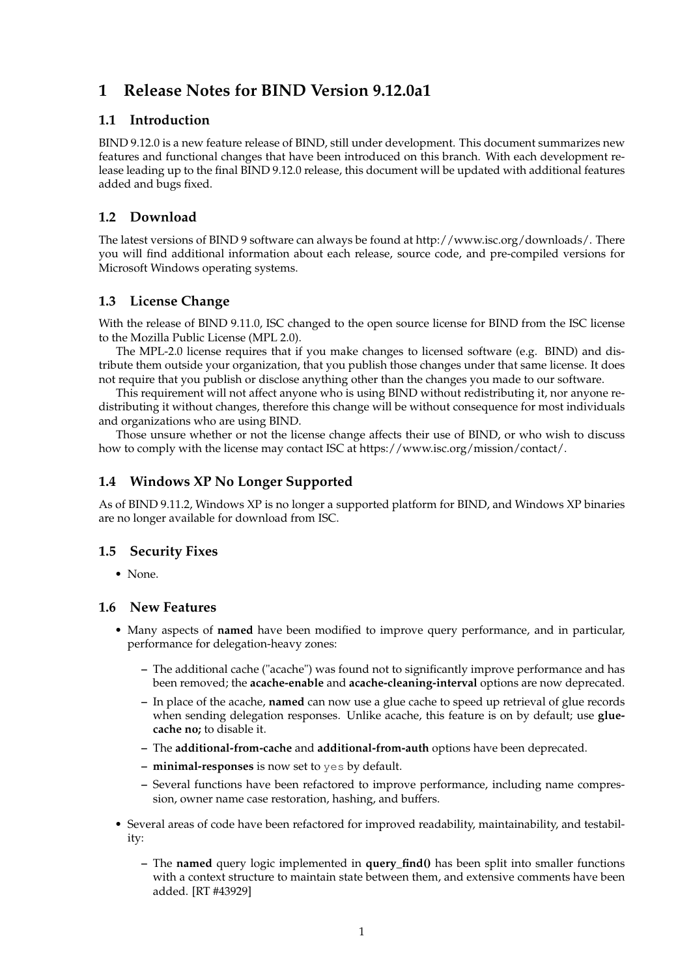# **1 Release Notes for BIND Version 9.12.0a1**

### **1.1 Introduction**

BIND 9.12.0 is a new feature release of BIND, still under development. This document summarizes new features and functional changes that have been introduced on this branch. With each development release leading up to the final BIND 9.12.0 release, this document will be updated with additional features added and bugs fixed.

## **1.2 Download**

The latest versions of BIND 9 software can always be found at http://www.isc.org/downloads/. There you will find additional information about each release, source code, and pre-compiled versions for Microsoft Windows operating systems.

## **1.3 License Change**

With the release of BIND 9.11.0, ISC changed to the open source license for BIND from the ISC license to the Mozilla Public License (MPL 2.0).

The MPL-2.0 license requires that if you make changes to licensed software (e.g. BIND) and distribute them outside your organization, that you publish those changes under that same license. It does not require that you publish or disclose anything other than the changes you made to our software.

This requirement will not affect anyone who is using BIND without redistributing it, nor anyone redistributing it without changes, therefore this change will be without consequence for most individuals and organizations who are using BIND.

Those unsure whether or not the license change affects their use of BIND, or who wish to discuss how to comply with the license may contact ISC at https://www.isc.org/mission/contact/.

# **1.4 Windows XP No Longer Supported**

As of BIND 9.11.2, Windows XP is no longer a supported platform for BIND, and Windows XP binaries are no longer available for download from ISC.

## **1.5 Security Fixes**

• None.

#### **1.6 New Features**

- Many aspects of **named** have been modified to improve query performance, and in particular, performance for delegation-heavy zones:
	- **–** The additional cache ("acache") was found not to significantly improve performance and has been removed; the **acache-enable** and **acache-cleaning-interval** options are now deprecated.
	- **–** In place of the acache, **named** can now use a glue cache to speed up retrieval of glue records when sending delegation responses. Unlike acache, this feature is on by default; use **gluecache no;** to disable it.
	- **–** The **additional-from-cache** and **additional-from-auth** options have been deprecated.
	- **– minimal-responses** is now set to yes by default.
	- **–** Several functions have been refactored to improve performance, including name compression, owner name case restoration, hashing, and buffers.
- Several areas of code have been refactored for improved readability, maintainability, and testability:
	- **–** The **named** query logic implemented in **query\_find()** has been split into smaller functions with a context structure to maintain state between them, and extensive comments have been added. [RT #43929]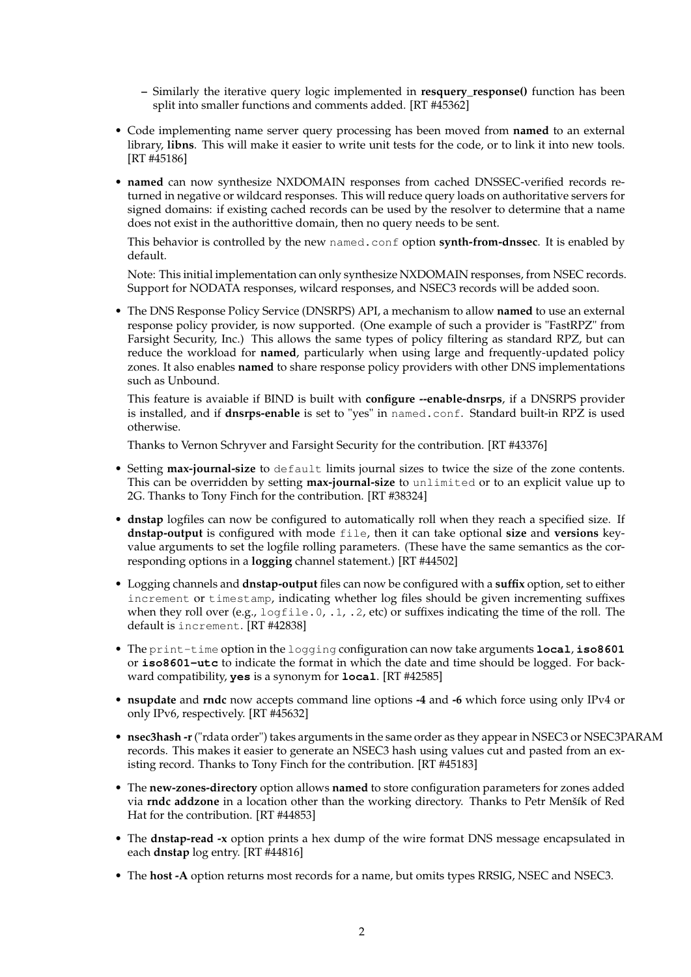- **–** Similarly the iterative query logic implemented in **resquery\_response()** function has been split into smaller functions and comments added. [RT #45362]
- Code implementing name server query processing has been moved from **named** to an external library, **libns**. This will make it easier to write unit tests for the code, or to link it into new tools. [RT #45186]
- **named** can now synthesize NXDOMAIN responses from cached DNSSEC-verified records returned in negative or wildcard responses. This will reduce query loads on authoritative servers for signed domains: if existing cached records can be used by the resolver to determine that a name does not exist in the authorittive domain, then no query needs to be sent.

This behavior is controlled by the new named.conf option **synth-from-dnssec**. It is enabled by default.

Note: This initial implementation can only synthesize NXDOMAIN responses, from NSEC records. Support for NODATA responses, wilcard responses, and NSEC3 records will be added soon.

• The DNS Response Policy Service (DNSRPS) API, a mechanism to allow **named** to use an external response policy provider, is now supported. (One example of such a provider is "FastRPZ" from Farsight Security, Inc.) This allows the same types of policy filtering as standard RPZ, but can reduce the workload for **named**, particularly when using large and frequently-updated policy zones. It also enables **named** to share response policy providers with other DNS implementations such as Unbound.

This feature is avaiable if BIND is built with **configure --enable-dnsrps**, if a DNSRPS provider is installed, and if **dnsrps-enable** is set to "yes" in named.conf. Standard built-in RPZ is used otherwise.

Thanks to Vernon Schryver and Farsight Security for the contribution. [RT #43376]

- Setting **max-journal-size** to default limits journal sizes to twice the size of the zone contents. This can be overridden by setting **max-journal-size** to unlimited or to an explicit value up to 2G. Thanks to Tony Finch for the contribution. [RT #38324]
- **dnstap** logfiles can now be configured to automatically roll when they reach a specified size. If **dnstap-output** is configured with mode file, then it can take optional **size** and **versions** keyvalue arguments to set the logfile rolling parameters. (These have the same semantics as the corresponding options in a **logging** channel statement.) [RT #44502]
- Logging channels and **dnstap-output** files can now be configured with a **suffix** option, set to either increment or timestamp, indicating whether log files should be given incrementing suffixes when they roll over (e.g.,  $logfile.0, 1, 2, etc$ ) or suffixes indicating the time of the roll. The default is increment. [RT #42838]
- The print-time option in the logging configuration can now take arguments **local**, **iso8601** or **iso8601-utc** to indicate the format in which the date and time should be logged. For backward compatibility, **yes** is a synonym for **local**. [RT #42585]
- **nsupdate** and **rndc** now accepts command line options **-4** and **-6** which force using only IPv4 or only IPv6, respectively. [RT #45632]
- **nsec3hash -r**("rdata order") takes arguments in the same order as they appear in NSEC3 or NSEC3PARAM records. This makes it easier to generate an NSEC3 hash using values cut and pasted from an existing record. Thanks to Tony Finch for the contribution. [RT #45183]
- The **new-zones-directory** option allows **named** to store configuration parameters for zones added via **rndc addzone** in a location other than the working directory. Thanks to Petr Menšík of Red Hat for the contribution. [RT #44853]
- The **dnstap-read -x** option prints a hex dump of the wire format DNS message encapsulated in each **dnstap** log entry. [RT #44816]
- The **host -A** option returns most records for a name, but omits types RRSIG, NSEC and NSEC3.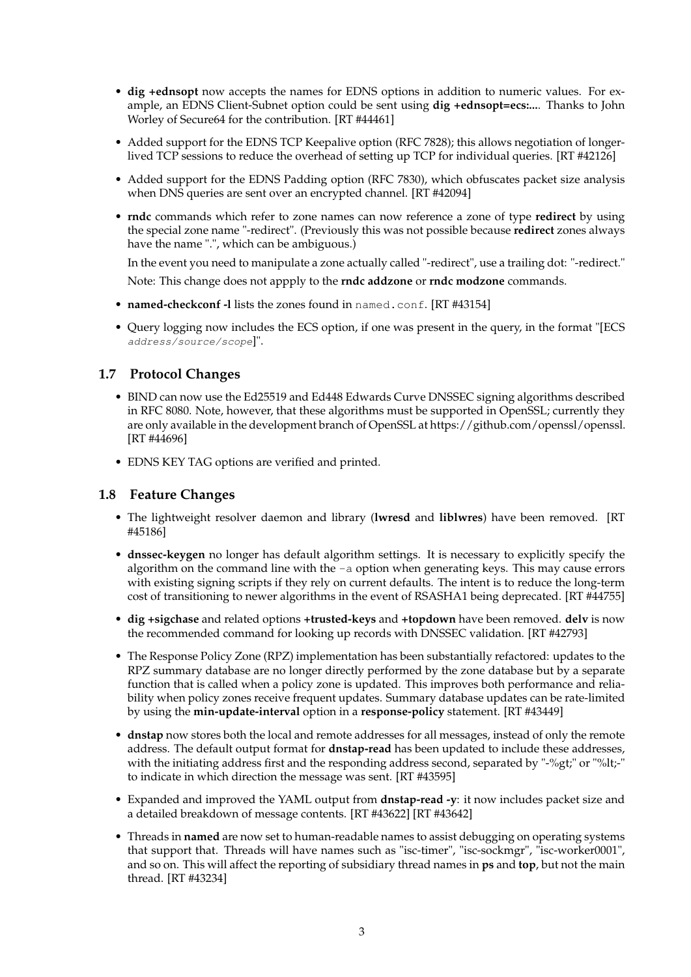- **dig +ednsopt** now accepts the names for EDNS options in addition to numeric values. For example, an EDNS Client-Subnet option could be sent using **dig +ednsopt=ecs:...**. Thanks to John Worley of Secure64 for the contribution. [RT #44461]
- Added support for the EDNS TCP Keepalive option (RFC 7828); this allows negotiation of longerlived TCP sessions to reduce the overhead of setting up TCP for individual queries. [RT #42126]
- Added support for the EDNS Padding option (RFC 7830), which obfuscates packet size analysis when DNS queries are sent over an encrypted channel. [RT #42094]
- **rndc** commands which refer to zone names can now reference a zone of type **redirect** by using the special zone name "-redirect". (Previously this was not possible because **redirect** zones always have the name ".", which can be ambiguous.)

In the event you need to manipulate a zone actually called "-redirect", use a trailing dot: "-redirect."

Note: This change does not appply to the **rndc addzone** or **rndc modzone** commands.

- **named-checkconf -l** lists the zones found in named.conf. [RT #43154]
- Query logging now includes the ECS option, if one was present in the query, in the format "[ECS address/source/scope]".

#### **1.7 Protocol Changes**

- BIND can now use the Ed25519 and Ed448 Edwards Curve DNSSEC signing algorithms described in RFC 8080. Note, however, that these algorithms must be supported in OpenSSL; currently they are only available in the development branch of OpenSSL at https://github.com/openssl/openssl. [RT #44696]
- EDNS KEY TAG options are verified and printed.

#### **1.8 Feature Changes**

- The lightweight resolver daemon and library (**lwresd** and **liblwres**) have been removed. [RT #45186]
- **dnssec-keygen** no longer has default algorithm settings. It is necessary to explicitly specify the algorithm on the command line with the  $-a$  option when generating keys. This may cause errors with existing signing scripts if they rely on current defaults. The intent is to reduce the long-term cost of transitioning to newer algorithms in the event of RSASHA1 being deprecated. [RT #44755]
- **dig +sigchase** and related options **+trusted-keys** and **+topdown** have been removed. **delv** is now the recommended command for looking up records with DNSSEC validation. [RT #42793]
- The Response Policy Zone (RPZ) implementation has been substantially refactored: updates to the RPZ summary database are no longer directly performed by the zone database but by a separate function that is called when a policy zone is updated. This improves both performance and reliability when policy zones receive frequent updates. Summary database updates can be rate-limited by using the **min-update-interval** option in a **response-policy** statement. [RT #43449]
- **dnstap** now stores both the local and remote addresses for all messages, instead of only the remote address. The default output format for **dnstap-read** has been updated to include these addresses, with the initiating address first and the responding address second, separated by "-%gt;" or "%lt;-" to indicate in which direction the message was sent. [RT #43595]
- Expanded and improved the YAML output from **dnstap-read -y**: it now includes packet size and a detailed breakdown of message contents. [RT #43622] [RT #43642]
- Threads in **named** are now set to human-readable names to assist debugging on operating systems that support that. Threads will have names such as "isc-timer", "isc-sockmgr", "isc-worker0001", and so on. This will affect the reporting of subsidiary thread names in **ps** and **top**, but not the main thread. [RT #43234]